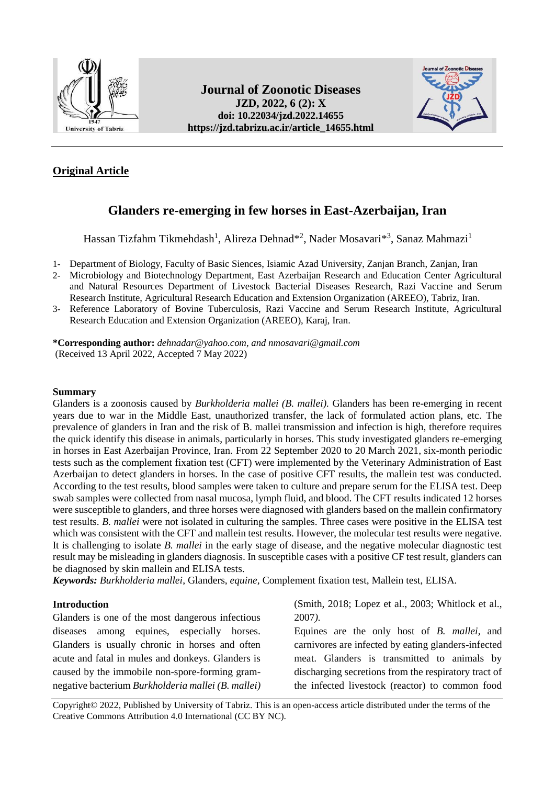

**Journal of Zoonotic Diseases JZD, 2022, 6 (2): X doi: [10.22034/jzd.2022.14655](https://dx.doi.org/10.22034/jzd.2022.14655) https://jzd.tabrizu.ac.ir/article\_14655.html**



## **Original Article**

# **Glanders re-emerging in few horses in East-Azerbaijan, Iran**

Hassan Tizfahm Tikmehdash<sup>1</sup>, Alireza Dehnad\*<sup>2</sup>, Nader Mosavari\*<sup>3</sup>, Sanaz Mahmazi<sup>1</sup>

- 1- Department of Biology, Faculty of Basic Siences, Isiamic Azad University, Zanjan Branch, Zanjan, Iran
- 2- Microbiology and Biotechnology Department, East Azerbaijan Research and Education Center Agricultural and Natural Resources Department of Livestock Bacterial Diseases Research, Razi Vaccine and Serum Research Institute, Agricultural Research Education and Extension Organization (AREEO), Tabriz, Iran.
- 3- Reference Laboratory of Bovine Tuberculosis, Razi Vaccine and Serum Research Institute, Agricultural Research Education and Extension Organization (AREEO), Karaj, Iran.

**\*Corresponding author:** *[dehnadar@yahoo.com,](mailto:dehnadar@yahoo.com) and nmosavari@gmail.com* (Received 13 April 2022, Accepted 7 May 2022)

### **Summary**

Glanders is a zoonosis caused by *Burkholderia mallei (B. mallei).* Glanders has been re-emerging in recent years due to war in the Middle East, unauthorized transfer, the lack of formulated action plans, etc. The prevalence of glanders in Iran and the risk of B. mallei transmission and infection is high, therefore requires the quick identify this disease in animals, particularly in horses. This study investigated glanders re-emerging in horses in East Azerbaijan Province, Iran. From 22 September 2020 to 20 March 2021, six-month periodic tests such as the complement fixation test (CFT) were implemented by the Veterinary Administration of East Azerbaijan to detect glanders in horses. In the case of positive CFT results, the mallein test was conducted. According to the test results, blood samples were taken to culture and prepare serum for the ELISA test. Deep swab samples were collected from nasal mucosa, lymph fluid, and blood. The CFT results indicated 12 horses were susceptible to glanders, and three horses were diagnosed with glanders based on the mallein confirmatory test results. *B. mallei* were not isolated in culturing the samples. Three cases were positive in the ELISA test which was consistent with the CFT and mallein test results. However, the molecular test results were negative. It is challenging to isolate *B. mallei* in the early stage of disease, and the negative molecular diagnostic test result may be misleading in glanders diagnosis. In susceptible cases with a positive CF test result, glanders can be diagnosed by skin mallein and ELISA tests.

*Keywords: Burkholderia mallei*, Glanders, *equine,* Complement fixation test, Mallein test, ELISA.

## **Introduction**

Glanders is one of the most dangerous infectious diseases among equines, especially horses. Glanders is usually chronic in horses and often acute and fatal in mules and donkeys. Glanders is caused by the immobile non-spore-forming gramnegative bacterium *Burkholderia mallei (B. mallei)*  (Smith, 2018; Lopez et al., 2003; Whitlock et al., 2007*).* 

Equines are the only host of *B. mallei,* and carnivores are infected by eating glanders-infected meat. Glanders is transmitted to animals by discharging secretions from the respiratory tract of the infected livestock (reactor) to common food

Copyright© 2022, Published by University of Tabriz. This is an open-access article distributed under the terms of the Creative Commons Attribution 4.0 International (CC BY NC).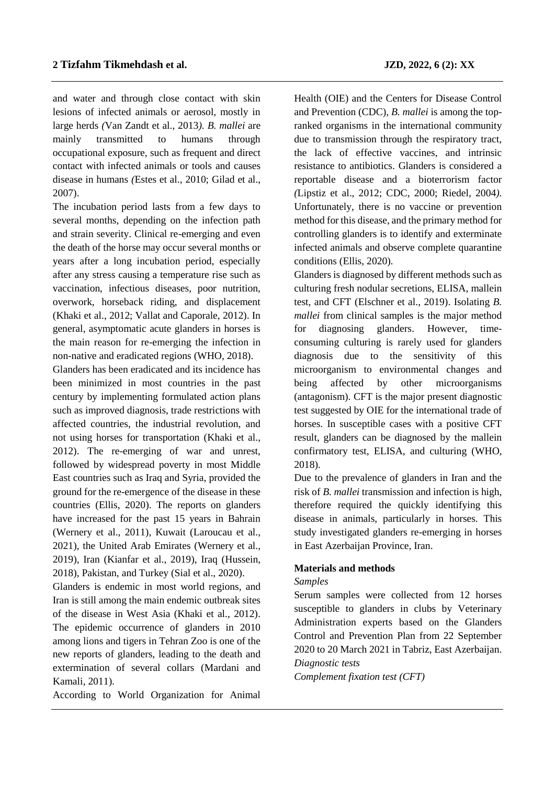and water and through close contact with skin lesions of infected animals or aerosol, mostly in large herds *(*Van Zandt et al., 2013*). B. mallei* are mainly transmitted to humans through occupational exposure, such as frequent and direct contact with infected animals or tools and causes disease in humans *(*Estes et al., 2010; Gilad et al., 2007).

The incubation period lasts from a few days to several months, depending on the infection path and strain severity. Clinical re-emerging and even the death of the horse may occur several months or years after a long incubation period, especially after any stress causing a temperature rise such as vaccination, infectious diseases, poor nutrition, overwork, horseback riding, and displacement (Khaki et al., 2012; Vallat and Caporale, 2012). In general, asymptomatic acute glanders in horses is the main reason for re-emerging the infection in non-native and eradicated regions (WHO, 2018).

Glanders has been eradicated and its incidence has been minimized in most countries in the past century by implementing formulated action plans such as improved diagnosis, trade restrictions with affected countries, the industrial revolution, and not using horses for transportation (Khaki et al., 2012). The re-emerging of war and unrest, followed by widespread poverty in most Middle East countries such as Iraq and Syria, provided the ground for the re-emergence of the disease in these countries (Ellis, 2020). The reports on glanders have increased for the past 15 years in Bahrain (Wernery et al., 2011), Kuwait (Laroucau et al., 2021), the United Arab Emirates (Wernery et al., 2019), Iran (Kianfar et al., 2019), Iraq (Hussein, 2018), Pakistan, and Turkey (Sial et al., 2020).

Glanders is endemic in most world regions, and Iran is still among the main endemic outbreak sites of the disease in West Asia (Khaki et al., 2012). The epidemic occurrence of glanders in 2010 among lions and tigers in Tehran Zoo is one of the new reports of glanders, leading to the death and extermination of several collars (Mardani and Kamali, 2011).

According to World Organization for Animal

Health (OIE) and the Centers for Disease Control and Prevention (CDC), *B. mallei* is among the topranked organisms in the international community due to transmission through the respiratory tract, the lack of effective vaccines, and intrinsic resistance to antibiotics. Glanders is considered a reportable disease and a bioterrorism factor *(*Lipstiz et al., 2012; CDC, 2000; Riedel, 2004*).*  Unfortunately, there is no vaccine or prevention method for this disease, and the primary method for controlling glanders is to identify and exterminate infected animals and observe complete quarantine conditions (Ellis, 2020)*.* 

Glanders is diagnosed by different methods such as culturing fresh nodular secretions, ELISA, mallein test, and CFT (Elschner et al., 2019). Isolating *B. mallei* from clinical samples is the major method for diagnosing glanders. However, timeconsuming culturing is rarely used for glanders diagnosis due to the sensitivity of this microorganism to environmental changes and being affected by other microorganisms (antagonism). CFT is the major present diagnostic test suggested by OIE for the international trade of horses. In susceptible cases with a positive CFT result, glanders can be diagnosed by the mallein confirmatory test, ELISA, and culturing (WHO, 2018)*.*

Due to the prevalence of glanders in Iran and the risk of *B. mallei* transmission and infection is high, therefore required the quickly identifying this disease in animals, particularly in horses. This study investigated glanders re-emerging in horses in East Azerbaijan Province, Iran.

### **Materials and methods**

### *Samples*

Serum samples were collected from 12 horses susceptible to glanders in clubs by Veterinary Administration experts based on the Glanders Control and Prevention Plan from 22 September 2020 to 20 March 2021 in Tabriz, East Azerbaijan. *Diagnostic tests*

*Complement fixation test (CFT)*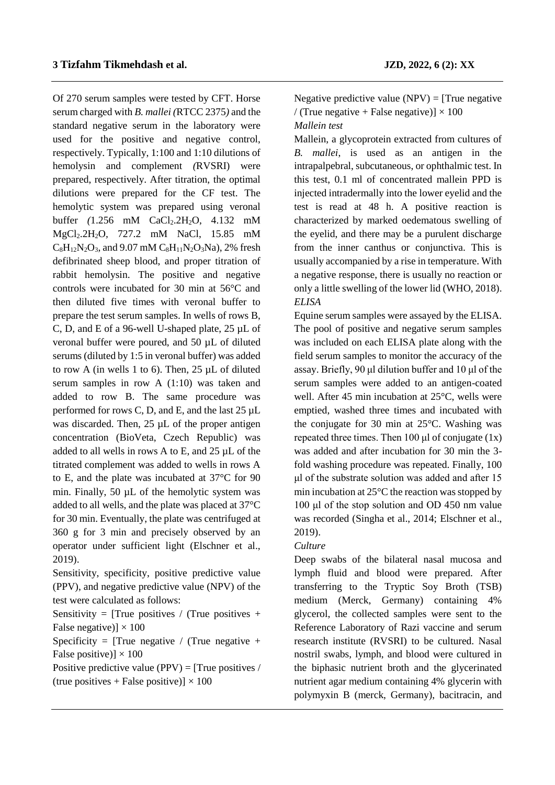Of 270 serum samples were tested by CFT. Horse serum charged with *B. mallei (*RTCC 2375*)* and the standard negative serum in the laboratory were used for the positive and negative control, respectively. Typically, 1:100 and 1:10 dilutions of hemolysin and complement *(*RVSRI) were prepared, respectively. After titration, the optimal dilutions were prepared for the CF test. The hemolytic system was prepared using veronal buffer *(1.256* mM CaCl<sub>2</sub>.2H<sub>2</sub>O, 4.132 mM MgCl2.2H2O*,* 727.2 mM NaCl, 15.85 mM  $C_8H_{12}N_2O_3$ , and 9.07 mM  $C_8H_{11}N_2O_3Na$ , 2% fresh defibrinated sheep blood, and proper titration of rabbit hemolysin. The positive and negative controls were incubated for 30 min at 56°C and then diluted five times with veronal buffer to prepare the test serum samples. In wells of rows B, C, D, and E of a 96-well U-shaped plate, 25 µL of veronal buffer were poured, and 50 µL of diluted serums (diluted by 1:5 in veronal buffer) was added to row A (in wells 1 to 6). Then, 25 µL of diluted serum samples in row A (1:10) was taken and added to row B. The same procedure was performed for rows C, D, and E, and the last 25 µL was discarded. Then, 25 µL of the proper antigen concentration (BioVeta, Czech Republic) was added to all wells in rows A to E, and 25 µL of the titrated complement was added to wells in rows A to E, and the plate was incubated at 37°C for 90 min. Finally, 50 µL of the hemolytic system was added to all wells, and the plate was placed at 37°C for 30 min. Eventually, the plate was centrifuged at 360 g for 3 min and precisely observed by an operator under sufficient light (Elschner et al., 2019).

Sensitivity, specificity, positive predictive value (PPV), and negative predictive value (NPV) of the test were calculated as follows:

Sensitivity = [True positives / (True positives + False negative)]  $\times$  100

Specificity =  $\text{True negative}$  /  $\text{True negative}$  + False positive)]  $\times$  100

Positive predictive value (PPV) =  $[True~positives / ]$ (true positives + False positive)]  $\times$  100

Negative predictive value  $(NPV) =$  [True negative / (True negative + False negative)]  $\times$  100 *Mallein test*

Mallein, a glycoprotein extracted from cultures of *B. mallei*, is used as an antigen in the intrapalpebral, subcutaneous, or ophthalmic test. In this test, 0.1 ml of concentrated mallein PPD is injected intradermally into the lower eyelid and the test is read at 48 h. A positive reaction is characterized by marked oedematous swelling of the eyelid, and there may be a purulent discharge from the inner canthus or conjunctiva. This is usually accompanied by a rise in temperature. With a negative response, there is usually no reaction or only a little swelling of the lower lid (WHO, 2018). *ELISA*

Equine serum samples were assayed by the ELISA. The pool of positive and negative serum samples was included on each ELISA plate along with the field serum samples to monitor the accuracy of the assay. Briefly, 90 μl dilution buffer and 10 μl of the serum samples were added to an antigen-coated well. After 45 min incubation at 25°C, wells were emptied, washed three times and incubated with the conjugate for 30 min at 25°C. Washing was repeated three times. Then 100  $\mu$ l of conjugate (1x) was added and after incubation for 30 min the 3 fold washing procedure was repeated. Finally, 100 μl of the substrate solution was added and after 15 min incubation at 25°C the reaction was stopped by 100 μl of the stop solution and OD 450 nm value was recorded (Singha et al., 2014; Elschner et al., 2019).

## *Culture*

Deep swabs of the bilateral nasal mucosa and lymph fluid and blood were prepared. After transferring to the Tryptic Soy Broth (TSB) medium (Merck, Germany) containing 4% glycerol, the collected samples were sent to the Reference Laboratory of Razi vaccine and serum research institute (RVSRI) to be cultured. Nasal nostril swabs, lymph, and blood were cultured in the biphasic nutrient broth and the glycerinated nutrient agar medium containing 4% glycerin with polymyxin B (merck, Germany), bacitracin, and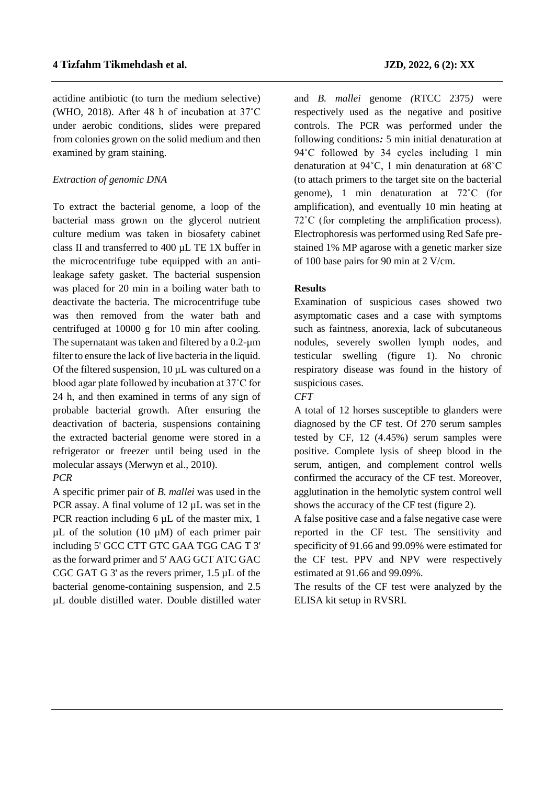actidine antibiotic (to turn the medium selective) (WHO, 2018). After 48 h of incubation at 37˚C under aerobic conditions, slides were prepared from colonies grown on the solid medium and then examined by gram staining.

## *Extraction of genomic DNA*

To extract the bacterial genome, a loop of the bacterial mass grown on the glycerol nutrient culture medium was taken in biosafety cabinet class II and transferred to 400 µL TE 1X buffer in the microcentrifuge tube equipped with an antileakage safety gasket. The bacterial suspension was placed for 20 min in a boiling water bath to deactivate the bacteria. The microcentrifuge tube was then removed from the water bath and centrifuged at 10000 g for 10 min after cooling. The supernatant was taken and filtered by a  $0.2$ - $\mu$ m filter to ensure the lack of live bacteria in the liquid. Of the filtered suspension, 10 µL was cultured on a blood agar plate followed by incubation at 37˚C for 24 h, and then examined in terms of any sign of probable bacterial growth. After ensuring the deactivation of bacteria, suspensions containing the extracted bacterial genome were stored in a refrigerator or freezer until being used in the molecular assays (Merwyn et al., 2010).

## *PCR*

A specific primer pair of *B. mallei* was used in the PCR assay. A final volume of 12  $\mu$ L was set in the PCR reaction including 6  $\mu$ L of the master mix, 1  $\mu$ L of the solution (10  $\mu$ M) of each primer pair including 5' GCC CTT GTC GAA TGG CAG T 3' as the forward primer and 5' AAG GCT ATC GAC CGC GAT G 3' as the revers primer, 1.5 µL of the bacterial genome-containing suspension, and 2.5 µL double distilled water. Double distilled water and *B. mallei* genome *(*RTCC 2375*)* were respectively used as the negative and positive controls. The PCR was performed under the following conditions*:* 5 min initial denaturation at 94°C followed by 34 cycles including 1 min denaturation at 94˚C, 1 min denaturation at 68˚C (to attach primers to the target site on the bacterial genome), 1 min denaturation at 72˚C (for amplification), and eventually 10 min heating at 72˚C (for completing the amplification process). Electrophoresis was performed using Red Safe prestained 1% MP agarose with a genetic marker size of 100 base pairs for 90 min at 2 V/cm.

## **Results**

Examination of suspicious cases showed two asymptomatic cases and a case with symptoms such as faintness, anorexia, lack of subcutaneous nodules, severely swollen lymph nodes, and testicular swelling (figure 1). No chronic respiratory disease was found in the history of suspicious cases.

*CFT*

A total of 12 horses susceptible to glanders were diagnosed by the CF test. Of 270 serum samples tested by CF, 12 (4.45%) serum samples were positive. Complete lysis of sheep blood in the serum, antigen, and complement control wells confirmed the accuracy of the CF test. Moreover, agglutination in the hemolytic system control well shows the accuracy of the CF test (figure 2).

A false positive case and a false negative case were reported in the CF test. The sensitivity and specificity of 91.66 and 99.09% were estimated for the CF test. PPV and NPV were respectively estimated at 91.66 and 99.09%.

The results of the CF test were analyzed by the ELISA kit setup in RVSRI.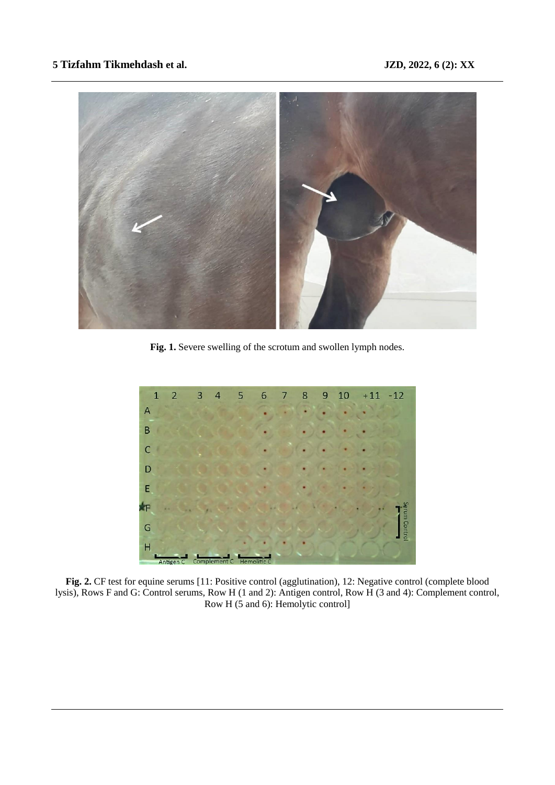## **5 Tizfahm Tikmehdash et al. JZD, 2022, 6 (2): XX**



**Fig. 1.** Severe swelling of the scrotum and swollen lymph nodes.



Fig. 2. CF test for equine serums [11: Positive control (agglutination), 12: Negative control (complete blood lysis), Rows F and G: Control serums, Row H (1 and 2): Antigen control, Row H (3 and 4): Complement control, Row H (5 and 6): Hemolytic control]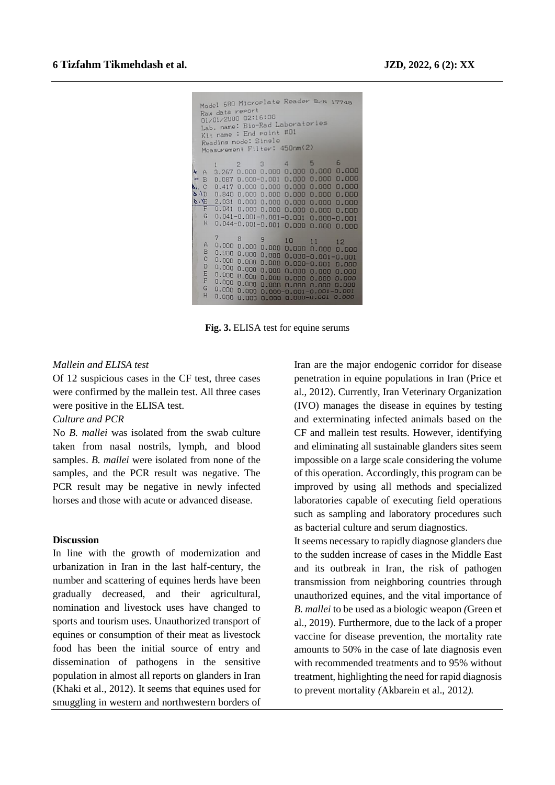|                       | Model 680 Microplate Reader Son 17748<br>Raw data report<br>01/01/2000 02:16:38<br>Lab. name: Bio-Rad Laboratories<br>Kit name : End point #01<br>Reading mode: Single<br>Measurement Filter: 450nm(2) |       |                               |  |  |                                                                                                                                                                                                                                                                                                                                                                                                       |  |  |
|-----------------------|--------------------------------------------------------------------------------------------------------------------------------------------------------------------------------------------------------|-------|-------------------------------|--|--|-------------------------------------------------------------------------------------------------------------------------------------------------------------------------------------------------------------------------------------------------------------------------------------------------------------------------------------------------------------------------------------------------------|--|--|
| $- B$<br>$\Delta$ . C | $+ A$<br>$Q \cdot D$<br>$\delta$ .<br>F<br>G<br>H                                                                                                                                                      |       |                               |  |  | $2 \t3 \t4 \t5 \t6$<br>3.267 0.000 0.000 0.000 0.000 0.000<br>0.087 0.000-0.001 0.000 0.000 0.000<br>$0.417$ $0.000$ $0.000$ $0.000$ $0.000$ $0.000$<br>$0.840$ $0.000$ $0.000$ $0.000$ $0.000$ $0.000$<br>$2.031$ 0.000 0.000 0.000 0.000 0.000<br>$0.041$ $0.000$ $0.000$ $0.000$ $0.000$ $0.000$<br>$0.041 - 0.001 - 0.001 - 0.001$ 0.000-0.001<br>$0.044 - 0.001 - 0.001$ 0.000 0.000 0.000       |  |  |
|                       | A<br>B<br>$\mathbf{C}$<br>D<br>E<br>F<br>G<br>H                                                                                                                                                        | $7 -$ | 0.00000.000<br>$0.000\,0.000$ |  |  | 8 9 10 11 12<br>$0.000\,$ $0.000\,$ $0.000\,$ $0.000\,$ $0.000\,$ $0.000$<br>$0.000 0.000 - 0.001 - 0.001$<br>$0.000$ $0.000$ $0.000$ $0.000-0.001$ $0.000$<br>$0.000\,0.000\,0.000\,0.000\,0.000\,0.000$<br>$0.000$ $0.000$ $0.000$ $0.000$ $0.000$ $0.000$<br>$0.000$ $0.000$ $0.000$ $0.000$ $0.000$ $0.000$<br>$0.000$ $0.000$ $0.000 - 0.001 - 0.001 - 0.001$<br>$0.000$ $0.000 - 0.001$ $0.000$ |  |  |

**Fig. 3.** ELISA test for equine serums

### *Mallein and ELISA test*

Of 12 suspicious cases in the CF test, three cases were confirmed by the mallein test. All three cases were positive in the ELISA test.

## *Culture and PCR*

No *B. mallei* was isolated from the swab culture taken from nasal nostrils, lymph, and blood samples. *B. mallei* were isolated from none of the samples, and the PCR result was negative. The PCR result may be negative in newly infected horses and those with acute or advanced disease.

### **Discussion**

In line with the growth of modernization and urbanization in Iran in the last half-century, the number and scattering of equines herds have been gradually decreased, and their agricultural, nomination and livestock uses have changed to sports and tourism uses. Unauthorized transport of equines or consumption of their meat as livestock food has been the initial source of entry and dissemination of pathogens in the sensitive population in almost all reports on glanders in Iran (Khaki et al., 2012). It seems that equines used for smuggling in western and northwestern borders of

Iran are the major endogenic corridor for disease penetration in equine populations in Iran (Price et al., 2012). Currently, Iran Veterinary Organization (IVO) manages the disease in equines by testing and exterminating infected animals based on the CF and mallein test results. However, identifying and eliminating all sustainable glanders sites seem impossible on a large scale considering the volume of this operation. Accordingly, this program can be improved by using all methods and specialized laboratories capable of executing field operations such as sampling and laboratory procedures such as bacterial culture and serum diagnostics.

It seems necessary to rapidly diagnose glanders due to the sudden increase of cases in the Middle East and its outbreak in Iran, the risk of pathogen transmission from neighboring countries through unauthorized equines, and the vital importance of *B. mallei* to be used as a biologic weapon *(*Green et al., 2019). Furthermore, due to the lack of a proper vaccine for disease prevention, the mortality rate amounts to 50% in the case of late diagnosis even with recommended treatments and to 95% without treatment, highlighting the need for rapid diagnosis to prevent mortality *(*Akbarein et al., 2012*).*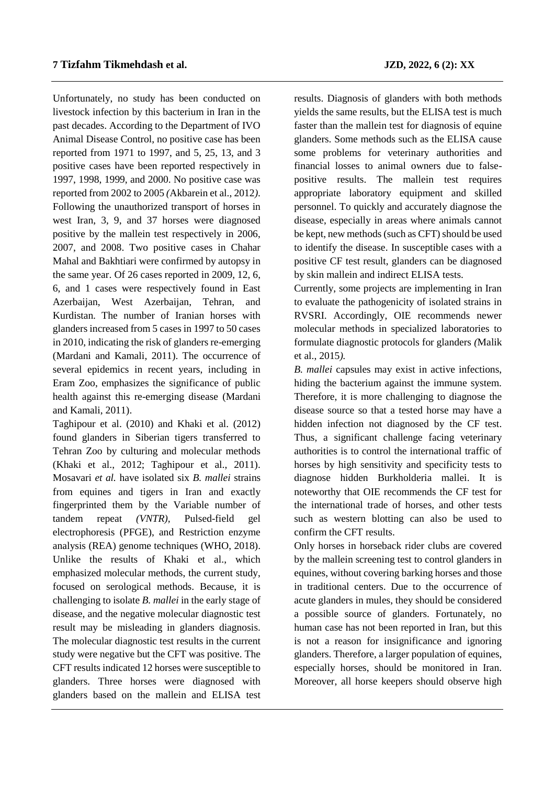Unfortunately, no study has been conducted on livestock infection by this bacterium in Iran in the past decades. According to the Department of IVO Animal Disease Control, no positive case has been reported from 1971 to 1997, and 5, 25, 13, and 3 positive cases have been reported respectively in 1997, 1998, 1999, and 2000. No positive case was reported from 2002 to 2005 *(*Akbarein et al., 2012*)*. Following the unauthorized transport of horses in west Iran, 3, 9, and 37 horses were diagnosed positive by the mallein test respectively in 2006, 2007, and 2008. Two positive cases in Chahar Mahal and Bakhtiari were confirmed by autopsy in the same year. Of 26 cases reported in 2009, 12, 6, 6, and 1 cases were respectively found in East Azerbaijan, West Azerbaijan, Tehran, and Kurdistan. The number of Iranian horses with glanders increased from 5 cases in 1997 to 50 cases in 2010, indicating the risk of glanders re-emerging (Mardani and Kamali, 2011). The occurrence of several epidemics in recent years, including in Eram Zoo, emphasizes the significance of public health against this re-emerging disease (Mardani and Kamali, 2011).

Taghipour et al. (2010) and Khaki et al. (2012) found glanders in Siberian tigers transferred to Tehran Zoo by culturing and molecular methods (Khaki et al., 2012; Taghipour et al., 2011). Mosavari *et al.* have isolated six *B. mallei* strains from equines and tigers in Iran and exactly fingerprinted them by the Variable number of tandem repeat *(VNTR),* Pulsed-field gel electrophoresis (PFGE), and Restriction enzyme analysis (REA) genome techniques (WHO, 2018). Unlike the results of Khaki et al., which emphasized molecular methods, the current study, focused on serological methods. Because, it is challenging to isolate *B. mallei* in the early stage of disease, and the negative molecular diagnostic test result may be misleading in glanders diagnosis. The molecular diagnostic test results in the current study were negative but the CFT was positive. The CFT results indicated 12 horses were susceptible to glanders. Three horses were diagnosed with glanders based on the mallein and ELISA test

results. Diagnosis of glanders with both methods yields the same results, but the ELISA test is much faster than the mallein test for diagnosis of equine glanders. Some methods such as the ELISA cause some problems for veterinary authorities and financial losses to animal owners due to falsepositive results. The mallein test requires appropriate laboratory equipment and skilled personnel. To quickly and accurately diagnose the disease, especially in areas where animals cannot be kept, new methods (such as CFT) should be used to identify the disease. In susceptible cases with a positive CF test result, glanders can be diagnosed by skin mallein and indirect ELISA tests.

Currently, some projects are implementing in Iran to evaluate the pathogenicity of isolated strains in RVSRI. Accordingly, OIE recommends newer molecular methods in specialized laboratories to formulate diagnostic protocols for glanders *(*Malik et al., 2015*).*

*B. mallei* capsules may exist in active infections, hiding the bacterium against the immune system. Therefore, it is more challenging to diagnose the disease source so that a tested horse may have a hidden infection not diagnosed by the CF test. Thus, a significant challenge facing veterinary authorities is to control the international traffic of horses by high sensitivity and specificity tests to diagnose hidden Burkholderia mallei. It is noteworthy that OIE recommends the CF test for the international trade of horses, and other tests such as western blotting can also be used to confirm the CFT results.

Only horses in horseback rider clubs are covered by the mallein screening test to control glanders in equines, without covering barking horses and those in traditional centers. Due to the occurrence of acute glanders in mules, they should be considered a possible source of glanders. Fortunately, no human case has not been reported in Iran, but this is not a reason for insignificance and ignoring glanders. Therefore, a larger population of equines, especially horses, should be monitored in Iran. Moreover, all horse keepers should observe high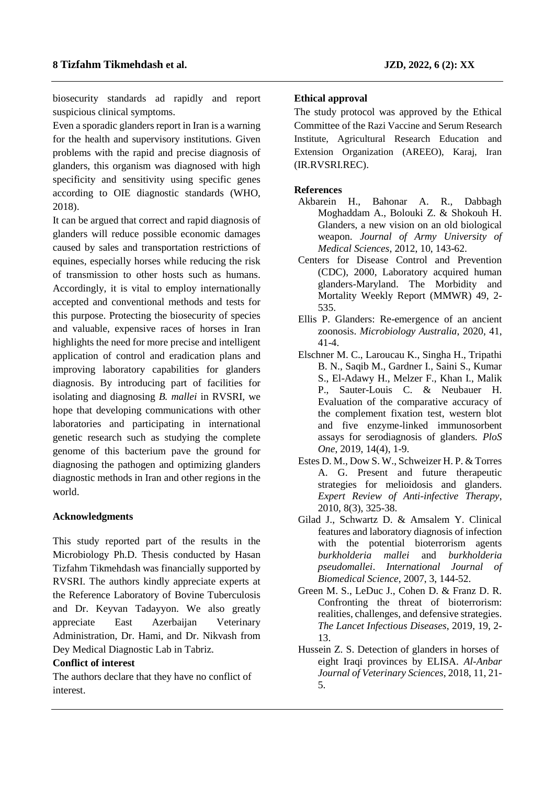biosecurity standards ad rapidly and report suspicious clinical symptoms.

Even a sporadic glanders report in Iran is a warning for the health and supervisory institutions. Given problems with the rapid and precise diagnosis of glanders, this organism was diagnosed with high specificity and sensitivity using specific genes according to OIE diagnostic standards (WHO, 2018).

It can be argued that correct and rapid diagnosis of glanders will reduce possible economic damages caused by sales and transportation restrictions of equines, especially horses while reducing the risk of transmission to other hosts such as humans. Accordingly, it is vital to employ internationally accepted and conventional methods and tests for this purpose. Protecting the biosecurity of species and valuable, expensive races of horses in Iran highlights the need for more precise and intelligent application of control and eradication plans and improving laboratory capabilities for glanders diagnosis. By introducing part of facilities for isolating and diagnosing *B. mallei* in RVSRI*,* we hope that developing communications with other laboratories and participating in international genetic research such as studying the complete genome of this bacterium pave the ground for diagnosing the pathogen and optimizing glanders diagnostic methods in Iran and other regions in the world.

## **Acknowledgments**

This study reported part of the results in the Microbiology Ph.D. Thesis conducted by Hasan Tizfahm Tikmehdash was financially supported by RVSRI. The authors kindly appreciate experts at the Reference Laboratory of Bovine Tuberculosis and Dr. Keyvan Tadayyon. We also greatly appreciate East Azerbaijan Veterinary Administration, Dr. Hami, and Dr. Nikvash from Dey Medical Diagnostic Lab in Tabriz.

## **Conflict of interest**

The authors declare that they have no conflict of interest.

## **Ethical approval**

The study protocol was approved by the Ethical Committee of the Razi Vaccine and Serum Research Institute, Agricultural Research Education and Extension Organization (AREEO), Karaj, Iran (IR.RVSRI.REC).

## **References**

- Akbarein H., Bahonar A. R., Dabbagh Moghaddam A., Bolouki Z. & Shokouh H. Glanders, a new vision on an old biological weapon. *Journal of Army University of Medical Sciences*, 2012, 10, 143-62.
- Centers for Disease Control and Prevention (CDC), 2000, Laboratory acquired human glanders-Maryland. The Morbidity and Mortality Weekly Report (MMWR) 49, 2- 535.
- Ellis P. Glanders: Re-emergence of an ancient zoonosis. *Microbiology Australia*, 2020, 41, 41-4.
- Elschner M. C., Laroucau K., Singha H., Tripathi B. N., Saqib M., Gardner I., Saini S., Kumar S., El-Adawy H., Melzer F., Khan I., Malik P., Sauter-Louis C. & Neubauer H. Evaluation of the comparative accuracy of the complement fixation test, western blot and five enzyme-linked immunosorbent assays for serodiagnosis of glanders. *PloS One*, 2019, 14(4), 1-9.
- Estes D. M., Dow S. W., Schweizer H. P. & Torres A. G. Present and future therapeutic strategies for melioidosis and glanders. *Expert Review of Anti-infective Therapy*, 2010, 8(3), 325-38.
- Gilad J., Schwartz D. & Amsalem Y. Clinical features and laboratory diagnosis of infection with the potential bioterrorism agents *burkholderia mallei* and *burkholderia pseudomallei*. *International Journal of Biomedical Science*, 2007, 3, 144-52.
- Green M. S., LeDuc J., Cohen D. & Franz D. R. Confronting the threat of bioterrorism: realities, challenges, and defensive strategies. *The Lancet Infectious Diseases*, 2019, 19, 2- 13.
- Hussein Z. S. Detection of glanders in horses of eight Iraqi provinces by ELISA. *Al-Anbar Journal of Veterinary Sciences*, 2018, 11, 21- 5.